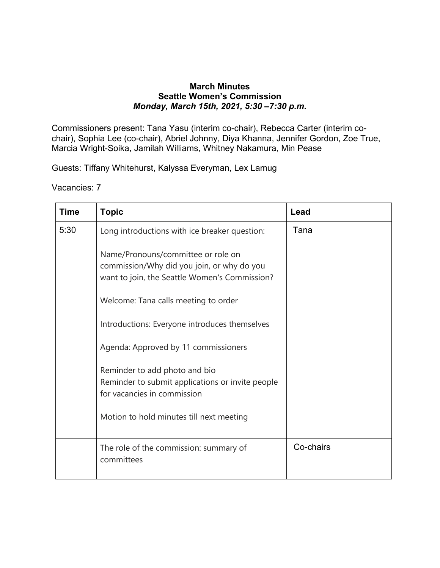## **March Minutes Seattle Women's Commission** *Monday, March 15th, 2021, 5:30 –7:30 p.m.*

Commissioners present: Tana Yasu (interim co-chair), Rebecca Carter (interim cochair), Sophia Lee (co-chair), Abriel Johnny, Diya Khanna, Jennifer Gordon, Zoe True, Marcia Wright-Soika, Jamilah Williams, Whitney Nakamura, Min Pease

Guests: Tiffany Whitehurst, Kalyssa Everyman, Lex Lamug

Vacancies: 7

| <b>Time</b> | <b>Topic</b>                                                                                                                      | Lead      |
|-------------|-----------------------------------------------------------------------------------------------------------------------------------|-----------|
| 5:30        | Long introductions with ice breaker question:                                                                                     | Tana      |
|             | Name/Pronouns/committee or role on<br>commission/Why did you join, or why do you<br>want to join, the Seattle Women's Commission? |           |
|             | Welcome: Tana calls meeting to order                                                                                              |           |
|             | Introductions: Everyone introduces themselves                                                                                     |           |
|             | Agenda: Approved by 11 commissioners                                                                                              |           |
|             | Reminder to add photo and bio<br>Reminder to submit applications or invite people<br>for vacancies in commission                  |           |
|             | Motion to hold minutes till next meeting                                                                                          |           |
|             | The role of the commission: summary of<br>committees                                                                              | Co-chairs |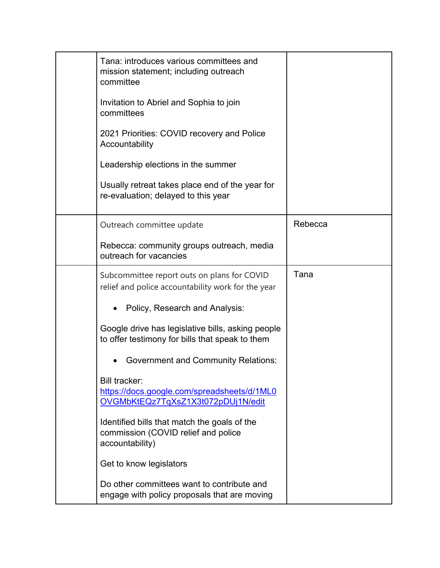| Tana: introduces various committees and<br>mission statement; including outreach<br>committee<br>Invitation to Abriel and Sophia to join<br>committees<br>2021 Priorities: COVID recovery and Police<br>Accountability<br>Leadership elections in the summer<br>Usually retreat takes place end of the year for<br>re-evaluation; delayed to this year |         |
|--------------------------------------------------------------------------------------------------------------------------------------------------------------------------------------------------------------------------------------------------------------------------------------------------------------------------------------------------------|---------|
| Outreach committee update                                                                                                                                                                                                                                                                                                                              | Rebecca |
| Rebecca: community groups outreach, media<br>outreach for vacancies                                                                                                                                                                                                                                                                                    |         |
| Subcommittee report outs on plans for COVID<br>relief and police accountability work for the year                                                                                                                                                                                                                                                      | Tana    |
| Policy, Research and Analysis:                                                                                                                                                                                                                                                                                                                         |         |
| Google drive has legislative bills, asking people<br>to offer testimony for bills that speak to them                                                                                                                                                                                                                                                   |         |
| <b>Government and Community Relations:</b>                                                                                                                                                                                                                                                                                                             |         |
| <b>Bill tracker:</b><br>https://docs.google.com/spreadsheets/d/1ML0<br>OVGMbKtEQz7TqXsZ1X3t072pDUj1N/edit                                                                                                                                                                                                                                              |         |
| Identified bills that match the goals of the<br>commission (COVID relief and police<br>accountability)                                                                                                                                                                                                                                                 |         |
| Get to know legislators                                                                                                                                                                                                                                                                                                                                |         |
| Do other committees want to contribute and<br>engage with policy proposals that are moving                                                                                                                                                                                                                                                             |         |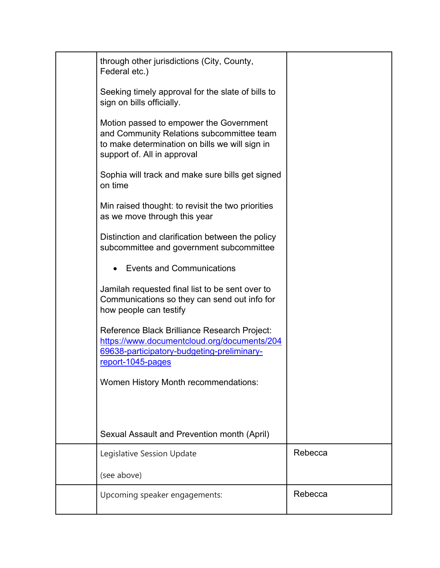| through other jurisdictions (City, County,<br>Federal etc.)                                                                                                           |         |
|-----------------------------------------------------------------------------------------------------------------------------------------------------------------------|---------|
| Seeking timely approval for the slate of bills to<br>sign on bills officially.                                                                                        |         |
| Motion passed to empower the Government<br>and Community Relations subcommittee team<br>to make determination on bills we will sign in<br>support of. All in approval |         |
| Sophia will track and make sure bills get signed<br>on time                                                                                                           |         |
| Min raised thought: to revisit the two priorities<br>as we move through this year                                                                                     |         |
| Distinction and clarification between the policy<br>subcommittee and government subcommittee                                                                          |         |
| <b>Events and Communications</b>                                                                                                                                      |         |
| Jamilah requested final list to be sent over to<br>Communications so they can send out info for<br>how people can testify                                             |         |
| Reference Black Brilliance Research Project:<br>https://www.documentcloud.org/documents/204<br>69638-participatory-budgeting-preliminary-<br>report-1045-pages        |         |
| Women History Month recommendations:                                                                                                                                  |         |
| Sexual Assault and Prevention month (April)                                                                                                                           |         |
| Legislative Session Update                                                                                                                                            | Rebecca |
| (see above)                                                                                                                                                           |         |
| Upcoming speaker engagements:                                                                                                                                         | Rebecca |
|                                                                                                                                                                       |         |